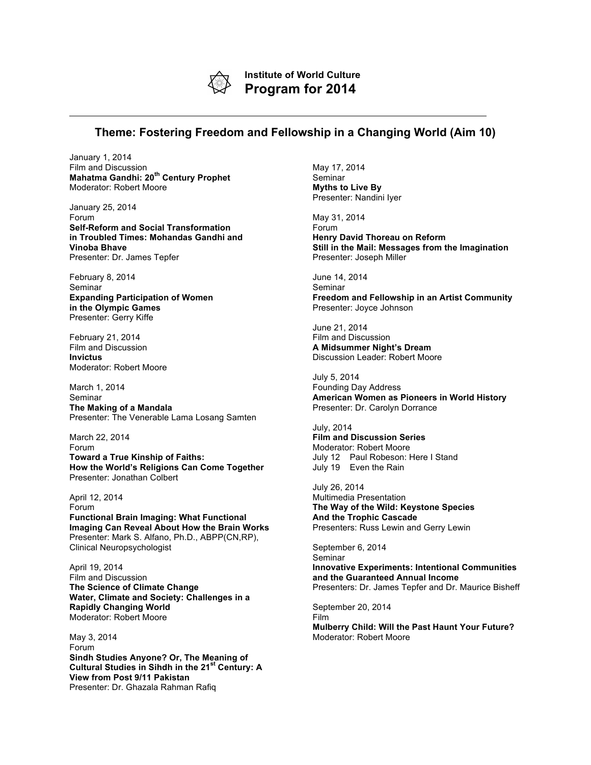

**Institute of World Culture Program for 2014**

## **Theme: Fostering Freedom and Fellowship in a Changing World (Aim 10)**

January 1, 2014 Film and Discussion **Mahatma Gandhi: 20th Century Prophet** Moderator: Robert Moore

January 25, 2014 Forum **Self-Reform and Social Transformation in Troubled Times: Mohandas Gandhi and Vinoba Bhave** Presenter: Dr. James Tepfer

February 8, 2014 Seminar **Expanding Participation of Women in the Olympic Games** Presenter: Gerry Kiffe

February 21, 2014 Film and Discussion **Invictus** Moderator: Robert Moore

March 1, 2014 Seminar **The Making of a Mandala** Presenter: The Venerable Lama Losang Samten

March 22, 2014 Forum **Toward a True Kinship of Faiths: How the World's Religions Can Come Together** Presenter: Jonathan Colbert

April 12, 2014 Forum **Functional Brain Imaging: What Functional Imaging Can Reveal About How the Brain Works** Presenter: Mark S. Alfano, Ph.D., ABPP(CN,RP), Clinical Neuropsychologist

April 19, 2014 Film and Discussion **The Science of Climate Change Water, Climate and Society: Challenges in a Rapidly Changing World** Moderator: Robert Moore

May 3, 2014 Forum **Sindh Studies Anyone? Or, The Meaning of Cultural Studies in Sihdh in the 21st Century: A View from Post 9/11 Pakistan** Presenter: Dr. Ghazala Rahman Rafiq

May 17, 2014 Seminar **Myths to Live By** Presenter: Nandini Iyer

May 31, 2014 Forum **Henry David Thoreau on Reform Still in the Mail: Messages from the Imagination** Presenter: Joseph Miller

June 14, 2014 Seminar **Freedom and Fellowship in an Artist Community** Presenter: Joyce Johnson

June 21, 2014 Film and Discussion **A Midsummer Night's Dream** Discussion Leader: Robert Moore

July 5, 2014 Founding Day Address **American Women as Pioneers in World History** Presenter: Dr. Carolyn Dorrance

July, 2014 **Film and Discussion Series** Moderator: Robert Moore July 12 Paul Robeson: Here I Stand July 19 Even the Rain

July 26, 2014 Multimedia Presentation **The Way of the Wild: Keystone Species And the Trophic Cascade** Presenters: Russ Lewin and Gerry Lewin

September 6, 2014 Seminar **Innovative Experiments: Intentional Communities and the Guaranteed Annual Income** Presenters: Dr. James Tepfer and Dr. Maurice Bisheff

September 20, 2014 Film **Mulberry Child: Will the Past Haunt Your Future?** Moderator: Robert Moore